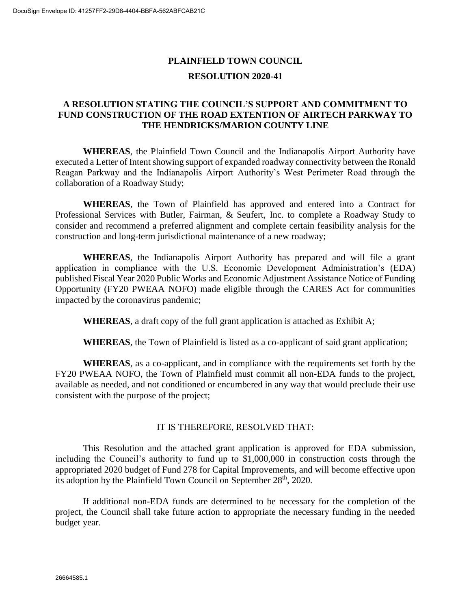### **PLAINFIELD TOWN COUNCIL RESOLUTION 2020-41**

### **A RESOLUTION STATING THE COUNCIL'S SUPPORT AND COMMITMENT TO FUND CONSTRUCTION OF THE ROAD EXTENTION OF AIRTECH PARKWAY TO THE HENDRICKS/MARION COUNTY LINE**

**WHEREAS**, the Plainfield Town Council and the Indianapolis Airport Authority have executed a Letter of Intent showing support of expanded roadway connectivity between the Ronald Reagan Parkway and the Indianapolis Airport Authority's West Perimeter Road through the collaboration of a Roadway Study;

**WHEREAS**, the Town of Plainfield has approved and entered into a Contract for Professional Services with Butler, Fairman, & Seufert, Inc. to complete a Roadway Study to consider and recommend a preferred alignment and complete certain feasibility analysis for the construction and long-term jurisdictional maintenance of a new roadway;

**WHEREAS**, the Indianapolis Airport Authority has prepared and will file a grant application in compliance with the U.S. Economic Development Administration's (EDA) published Fiscal Year 2020 Public Works and Economic Adjustment Assistance Notice of Funding Opportunity (FY20 PWEAA NOFO) made eligible through the CARES Act for communities impacted by the coronavirus pandemic;

**WHEREAS**, a draft copy of the full grant application is attached as Exhibit A;

**WHEREAS**, the Town of Plainfield is listed as a co-applicant of said grant application;

**WHEREAS**, as a co-applicant, and in compliance with the requirements set forth by the FY20 PWEAA NOFO, the Town of Plainfield must commit all non-EDA funds to the project, available as needed, and not conditioned or encumbered in any way that would preclude their use consistent with the purpose of the project;

#### IT IS THEREFORE, RESOLVED THAT:

This Resolution and the attached grant application is approved for EDA submission, including the Council's authority to fund up to \$1,000,000 in construction costs through the appropriated 2020 budget of Fund 278 for Capital Improvements, and will become effective upon its adoption by the Plainfield Town Council on September 28<sup>th</sup>, 2020.

If additional non-EDA funds are determined to be necessary for the completion of the project, the Council shall take future action to appropriate the necessary funding in the needed budget year.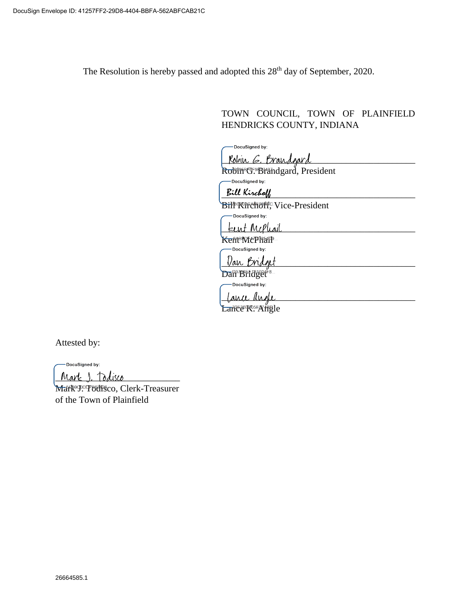The Resolution is hereby passed and adopted this 28<sup>th</sup> day of September, 2020.

TOWN COUNCIL, TOWN OF PLAINFIELD HENDRICKS COUNTY, INDIANA

-DocuSigned by: Robin G. Brandgard

Robin<sup>B</sup>G. Brandgard, President -DocuSigned by:

Bill Kirchoff

Bil<sup>®</sup> K<sup>e</sup>fchoff, Vice-President -DocuSigned by:

teent McPhail

Kent McPhairp ...<br>— Docusigned by:

Van Bridget Dah Bridget<sup>28</sup>...

DocuSigned by:

Lance ande

Lance K. Angle

Attested by:

DocuSigned by:

Mark 1. Todisco

Mark<sup>9900</sup>TBdfsco, Clerk-Treasurer of the Town of Plainfield